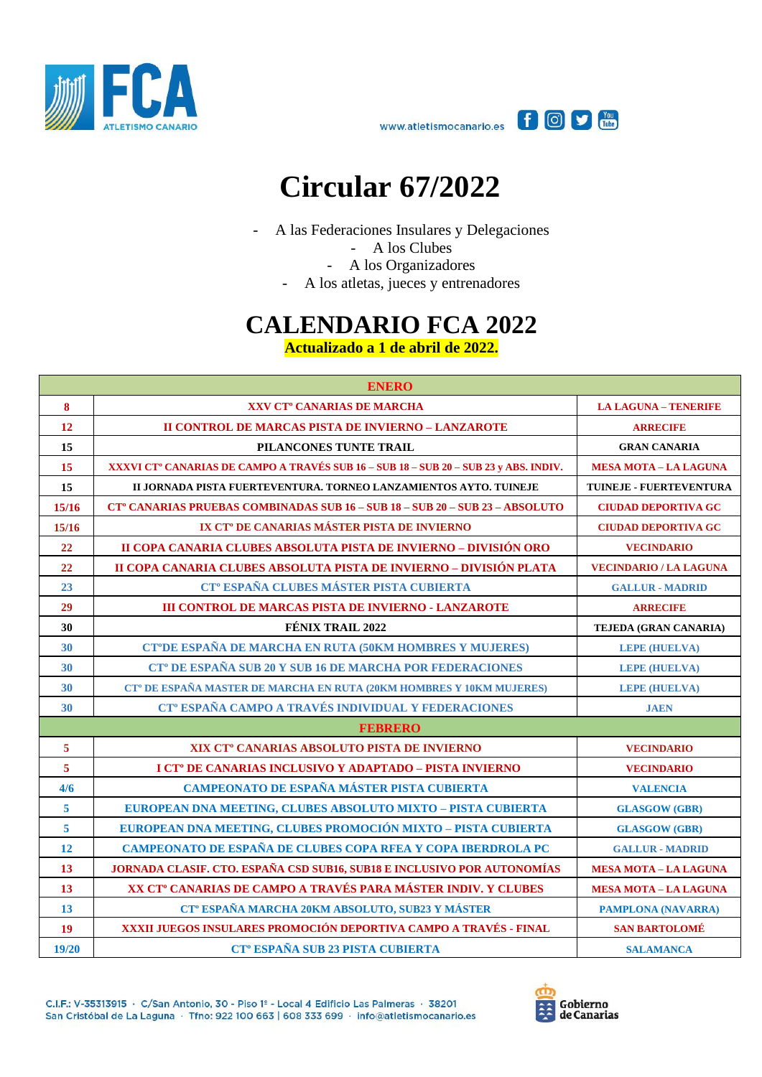



## **Circular 67/2022**

- A las Federaciones Insulares y Delegaciones

- A los Clubes
- A los Organizadores
- A los atletas, jueces y entrenadores

## **CALENDARIO FCA 2022**

**Actualizado a 1 de abril de 2022.**

| <b>ENERO</b>            |                                                                                                  |                               |
|-------------------------|--------------------------------------------------------------------------------------------------|-------------------------------|
| 8                       | XXV CT <sup>°</sup> CANARIAS DE MARCHA                                                           | <b>LA LAGUNA - TENERIFE</b>   |
| 12                      | <b>II CONTROL DE MARCAS PISTA DE INVIERNO - LANZAROTE</b>                                        | <b>ARRECIFE</b>               |
| 15                      | PILANCONES TUNTE TRAIL                                                                           | <b>GRAN CANARIA</b>           |
| 15                      | XXXVI CT <sup>°</sup> CANARIAS DE CAMPO A TRAVÉS SUB 16 – SUB 18 – SUB 20 – SUB 23 y ABS. INDIV. | <b>MESA MOTA - LA LAGUNA</b>  |
| 15                      | II JORNADA PISTA FUERTEVENTURA. TORNEO LANZAMIENTOS AYTO. TUINEJE                                | TUINEJE - FUERTEVENTURA       |
| 15/16                   | <b>CT° CANARIAS PRUEBAS COMBINADAS SUB 16 - SUB 18 - SUB 20 - SUB 23 - ABSOLUTO</b>              | <b>CIUDAD DEPORTIVA GC</b>    |
| 15/16                   | IX CT <sup>°</sup> DE CANARIAS MÁSTER PISTA DE INVIERNO                                          | <b>CIUDAD DEPORTIVA GC</b>    |
| 22                      | II COPA CANARIA CLUBES ABSOLUTA PISTA DE INVIERNO - DIVISIÓN ORO                                 | <b>VECINDARIO</b>             |
| 22                      | II COPA CANARIA CLUBES ABSOLUTA PISTA DE INVIERNO - DIVISIÓN PLATA                               | <b>VECINDARIO / LA LAGUNA</b> |
| 23                      | CT <sup>°</sup> ESPAÑA CLUBES MÁSTER PISTA CUBIERTA                                              | <b>GALLUR - MADRID</b>        |
| 29                      | <b>III CONTROL DE MARCAS PISTA DE INVIERNO - LANZAROTE</b>                                       | <b>ARRECIFE</b>               |
| 30                      | <b>FÉNIX TRAIL 2022</b>                                                                          | TEJEDA (GRAN CANARIA)         |
| 30                      | CT°DE ESPAÑA DE MARCHA EN RUTA (50KM HOMBRES Y MUJERES)                                          | <b>LEPE (HUELVA)</b>          |
| 30                      | CT <sup>°</sup> DE ESPAÑA SUB 20 Y SUB 16 DE MARCHA POR FEDERACIONES                             | <b>LEPE (HUELVA)</b>          |
| 30                      | CT <sup>°</sup> DE ESPAÑA MASTER DE MARCHA EN RUTA (20KM HOMBRES Y 10KM MUJERES)                 | <b>LEPE (HUELVA)</b>          |
| 30                      | CT <sup>°</sup> ESPAÑA CAMPO A TRAVÉS INDIVIDUAL Y FEDERACIONES                                  | <b>JAEN</b>                   |
|                         | <b>FEBRERO</b>                                                                                   |                               |
| $\overline{5}$          | XIX CT <sup>°</sup> CANARIAS ABSOLUTO PISTA DE INVIERNO                                          | <b>VECINDARIO</b>             |
| $\overline{\mathbf{5}}$ | I CT <sup>°</sup> DE CANARIAS INCLUSIVO Y ADAPTADO - PISTA INVIERNO                              | <b>VECINDARIO</b>             |
| 4/6                     | CAMPEONATO DE ESPAÑA MÁSTER PISTA CUBIERTA                                                       | <b>VALENCIA</b>               |
| $\overline{\mathbf{5}}$ | EUROPEAN DNA MEETING, CLUBES ABSOLUTO MIXTO - PISTA CUBIERTA                                     | <b>GLASGOW (GBR)</b>          |
| $\overline{\mathbf{5}}$ | EUROPEAN DNA MEETING, CLUBES PROMOCIÓN MIXTO - PISTA CUBIERTA                                    | <b>GLASGOW (GBR)</b>          |
| 12                      | CAMPEONATO DE ESPAÑA DE CLUBES COPA RFEA Y COPA IBERDROLA PC                                     | <b>GALLUR - MADRID</b>        |
| 13                      | JORNADA CLASIF. CTO. ESPAÑA CSD SUB16, SUB18 E INCLUSIVO POR AUTONOMÍAS                          | <b>MESA MOTA - LA LAGUNA</b>  |
| 13                      | XX CT <sup>°</sup> CANARIAS DE CAMPO A TRAVÉS PARA MÁSTER INDIV. Y CLUBES                        | <b>MESA MOTA - LA LAGUNA</b>  |
| 13                      | CT <sup>°</sup> ESPAÑA MARCHA 20KM ABSOLUTO, SUB23 Y MÁSTER                                      | <b>PAMPLONA (NAVARRA)</b>     |
| <b>19</b>               | XXXII JUEGOS INSULARES PROMOCIÓN DEPORTIVA CAMPO A TRAVÉS - FINAL                                | <b>SAN BARTOLOMÉ</b>          |
| 19/20                   | <b>CT<sup>°</sup> ESPAÑA SUB 23 PISTA CUBIERTA</b>                                               | <b>SALAMANCA</b>              |

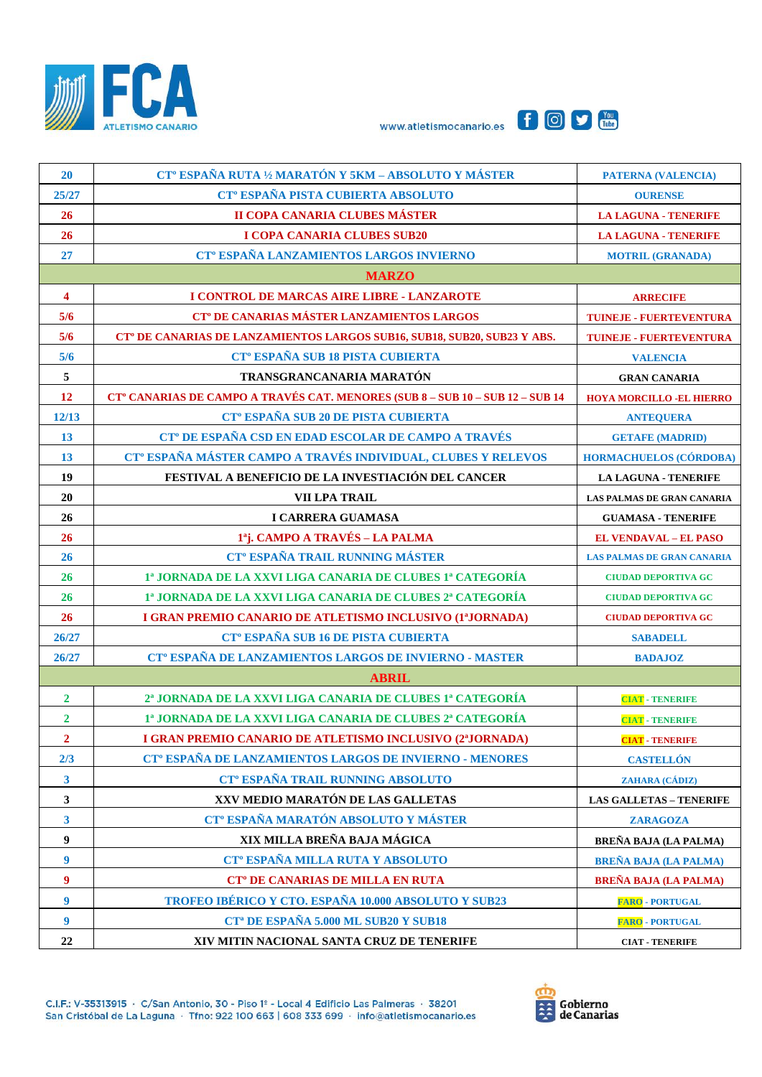





| 20                      | CT <sup>°</sup> ESPAÑA RUTA ½ MARATÓN Y 5KM – ABSOLUTO Y MÁSTER                      | <b>PATERNA (VALENCIA)</b>         |
|-------------------------|--------------------------------------------------------------------------------------|-----------------------------------|
| 25/27                   | CT <sup>°</sup> ESPAÑA PISTA CUBIERTA ABSOLUTO                                       | <b>OURENSE</b>                    |
| 26                      | II COPA CANARIA CLUBES MÁSTER                                                        | <b>LA LAGUNA - TENERIFE</b>       |
| 26                      | I COPA CANARIA CLUBES SUB20                                                          | <b>LA LAGUNA - TENERIFE</b>       |
| 27                      | CT <sup>°</sup> ESPAÑA LANZAMIENTOS LARGOS INVIERNO                                  | <b>MOTRIL (GRANADA)</b>           |
|                         | <b>MARZO</b>                                                                         |                                   |
| $\overline{\mathbf{4}}$ | I CONTROL DE MARCAS AIRE LIBRE - LANZAROTE                                           | <b>ARRECIFE</b>                   |
| 5/6                     | CT <sup>°</sup> DE CANARIAS MÁSTER LANZAMIENTOS LARGOS                               | <b>TUINEJE - FUERTEVENTURA</b>    |
| 5/6                     | CT <sup>°</sup> DE CANARIAS DE LANZAMIENTOS LARGOS SUB16, SUB18, SUB20, SUB23 Y ABS. | <b>TUINEJE - FUERTEVENTURA</b>    |
| 5/6                     | CT <sup>°</sup> ESPAÑA SUB 18 PISTA CUBIERTA                                         | <b>VALENCIA</b>                   |
| $\sqrt{5}$              | TRANSGRANCANARIA MARATÓN                                                             | <b>GRAN CANARIA</b>               |
| 12                      | <b>CT° CANARIAS DE CAMPO A TRAVÉS CAT. MENORES (SUB 8 - SUB 10 - SUB 12 - SUB 14</b> | <b>HOYA MORCILLO -EL HIERRO</b>   |
| 12/13                   | CT <sup>°</sup> ESPAÑA SUB 20 DE PISTA CUBIERTA                                      | <b>ANTEQUERA</b>                  |
| 13                      | CT <sup>°</sup> DE ESPAÑA CSD EN EDAD ESCOLAR DE CAMPO A TRAVÉS                      | <b>GETAFE (MADRID)</b>            |
| 13                      | CT <sup>°</sup> ESPAÑA MÁSTER CAMPO A TRAVÉS INDIVIDUAL, CLUBES Y RELEVOS            | <b>HORMACHUELOS (CÓRDOBA)</b>     |
| 19                      | FESTIVAL A BENEFICIO DE LA INVESTIACIÓN DEL CANCER                                   | <b>LA LAGUNA - TENERIFE</b>       |
| 20                      | VII LPA TRAIL                                                                        | <b>LAS PALMAS DE GRAN CANARIA</b> |
| 26                      | I CARRERA GUAMASA                                                                    | <b>GUAMASA - TENERIFE</b>         |
| 26                      | 1 <sup>a</sup> j. CAMPO A TRAVÉS - LA PALMA                                          | <b>EL VENDAVAL - EL PASO</b>      |
| 26                      | <b>CT<sup>°</sup> ESPAÑA TRAIL RUNNING MÁSTER</b>                                    | <b>LAS PALMAS DE GRAN CANARIA</b> |
| 26                      | 1ª JORNADA DE LA XXVI LIGA CANARIA DE CLUBES 1ª CATEGORÍA                            | <b>CIUDAD DEPORTIVA GC</b>        |
| 26                      | 1ª JORNADA DE LA XXVI LIGA CANARIA DE CLUBES 2ª CATEGORÍA                            | <b>CIUDAD DEPORTIVA GC</b>        |
| 26                      | I GRAN PREMIO CANARIO DE ATLETISMO INCLUSIVO (1ªJORNADA)                             | <b>CIUDAD DEPORTIVA GC</b>        |
| 26/27                   | CT <sup>°</sup> ESPAÑA SUB 16 DE PISTA CUBIERTA                                      | <b>SABADELL</b>                   |
| 26/27                   | CT <sup>°</sup> ESPAÑA DE LANZAMIENTOS LARGOS DE INVIERNO - MASTER                   | <b>BADAJOZ</b>                    |
|                         | <b>ABRIL</b>                                                                         |                                   |
| $\overline{2}$          | 2ª JORNADA DE LA XXVI LIGA CANARIA DE CLUBES 1ª CATEGORÍA                            | <b>CIAT - TENERIFE</b>            |
| $\overline{2}$          | 1ª JORNADA DE LA XXVI LIGA CANARIA DE CLUBES 2ª CATEGORÍA                            | <b>CIAT - TENERIFE</b>            |
| $\overline{2}$          | I GRAN PREMIO CANARIO DE ATLETISMO INCLUSIVO (2ªJORNADA)                             | <b>CIAT - TENERIFE</b>            |
| 2/3                     | CT <sup>°</sup> ESPAÑA DE LANZAMIENTOS LARGOS DE INVIERNO - MENORES                  | <b>CASTELLÓN</b>                  |
| $\overline{\mathbf{3}}$ | <b>CT<sup>°</sup> ESPAÑA TRAIL RUNNING ABSOLUTO</b>                                  | ZAHARA (CÁDIZ)                    |
| $\mathbf{3}$            | XXV MEDIO MARATÓN DE LAS GALLETAS                                                    | <b>LAS GALLETAS - TENERIFE</b>    |
| $\mathbf{3}$            | CT <sup>°</sup> ESPAÑA MARATÓN ABSOLUTO Y MÁSTER                                     | <b>ZARAGOZA</b>                   |
| $\boldsymbol{9}$        | XIX MILLA BREÑA BAJA MÁGICA                                                          | <b>BREÑA BAJA (LA PALMA)</b>      |
| $\boldsymbol{9}$        | CT <sup>°</sup> ESPAÑA MILLA RUTA Y ABSOLUTO                                         | <b>BREÑA BAJA (LA PALMA)</b>      |
| $\boldsymbol{9}$        | <b>CT<sup>°</sup> DE CANARIAS DE MILLA EN RUTA</b>                                   | <b>BREÑA BAJA (LA PALMA)</b>      |
| $\boldsymbol{9}$        | TROFEO IBÉRICO Y CTO. ESPAÑA 10.000 ABSOLUTO Y SUB23                                 | <b>FARO - PORTUGAL</b>            |
| $\boldsymbol{9}$        | CT <sup>a</sup> DE ESPAÑA 5.000 ML SUB20 Y SUB18                                     | <b>FARO - PORTUGAL</b>            |
| 22                      | XIV MITIN NACIONAL SANTA CRUZ DE TENERIFE                                            | <b>CIAT - TENERIFE</b>            |

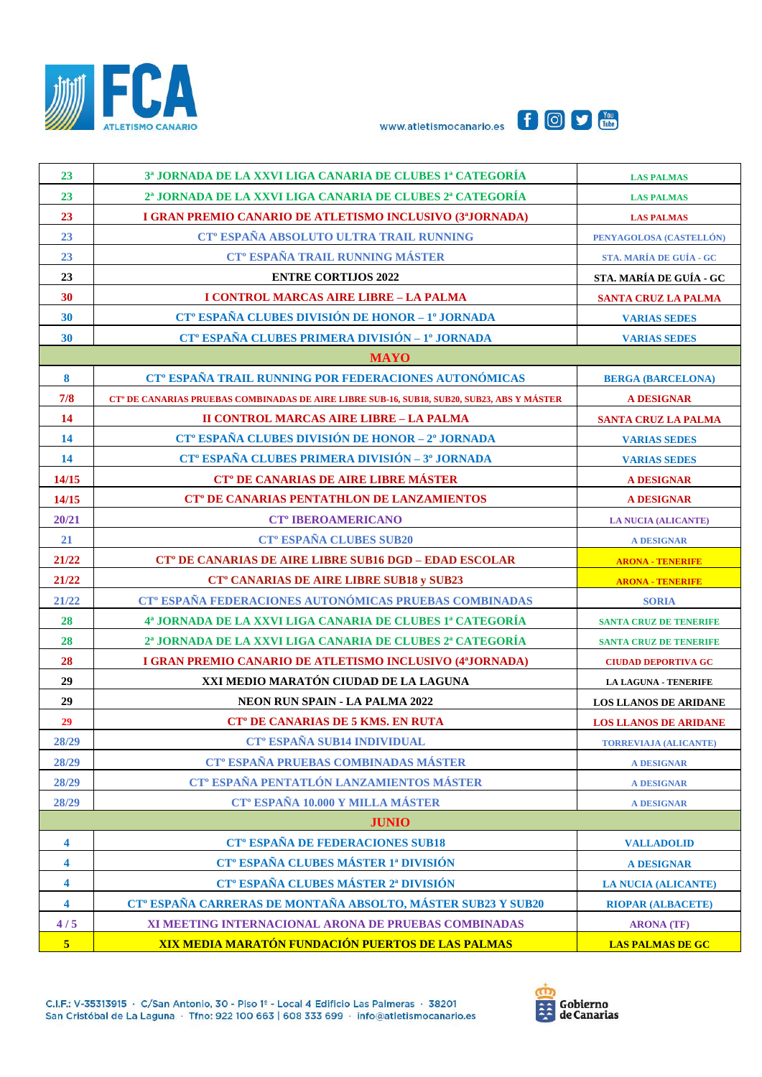





| 23    | 3ª JORNADA DE LA XXVI LIGA CANARIA DE CLUBES 1ª CATEGORÍA                                              | <b>LAS PALMAS</b>             |
|-------|--------------------------------------------------------------------------------------------------------|-------------------------------|
| 23    | 2ª JORNADA DE LA XXVI LIGA CANARIA DE CLUBES 2ª CATEGORÍA                                              | <b>LAS PALMAS</b>             |
| 23    | I GRAN PREMIO CANARIO DE ATLETISMO INCLUSIVO (3ªJORNADA)                                               | <b>LAS PALMAS</b>             |
| 23    | CT <sup>°</sup> ESPAÑA ABSOLUTO ULTRA TRAIL RUNNING                                                    | PENYAGOLOSA (CASTELLÓN)       |
| 23    | <b>CT<sup>°</sup> ESPAÑA TRAIL RUNNING MÁSTER</b>                                                      | STA. MARÍA DE GUÍA - GC       |
| 23    | <b>ENTRE CORTIJOS 2022</b>                                                                             | STA. MARÍA DE GUÍA - GC       |
| 30    | I CONTROL MARCAS AIRE LIBRE - LA PALMA                                                                 | <b>SANTA CRUZ LA PALMA</b>    |
| 30    | CT <sup>°</sup> ESPAÑA CLUBES DIVISIÓN DE HONOR - 1º JORNADA                                           | <b>VARIAS SEDES</b>           |
| 30    | CT <sup>°</sup> ESPAÑA CLUBES PRIMERA DIVISIÓN - 1º JORNADA                                            | <b>VARIAS SEDES</b>           |
|       | <b>MAYO</b>                                                                                            |                               |
| 8     | CT <sup>°</sup> ESPAÑA TRAIL RUNNING POR FEDERACIONES AUTONÓMICAS                                      | <b>BERGA (BARCELONA)</b>      |
| 7/8   | CT <sup>°</sup> DE CANARIAS PRUEBAS COMBINADAS DE AIRE LIBRE SUB-16, SUB18, SUB20, SUB23, ABS Y MÁSTER | <b>A DESIGNAR</b>             |
| 14    | <b>II CONTROL MARCAS AIRE LIBRE - LA PALMA</b>                                                         | <b>SANTA CRUZ LA PALMA</b>    |
| 14    | CT <sup>°</sup> ESPAÑA CLUBES DIVISIÓN DE HONOR - 2° JORNADA                                           | <b>VARIAS SEDES</b>           |
| 14    | CT <sup>°</sup> ESPAÑA CLUBES PRIMERA DIVISIÓN - 3 <sup>°</sup> JORNADA                                | <b>VARIAS SEDES</b>           |
| 14/15 | CT <sup>°</sup> DE CANARIAS DE AIRE LIBRE MÁSTER                                                       | <b>A DESIGNAR</b>             |
| 14/15 | <b>CT<sup>°</sup> DE CANARIAS PENTATHLON DE LANZAMIENTOS</b>                                           | <b>A DESIGNAR</b>             |
| 20/21 | <b>CT<sup>°</sup> IBEROAMERICANO</b>                                                                   | <b>LA NUCIA (ALICANTE)</b>    |
| 21    | <b>CT<sup>°</sup> ESPAÑA CLUBES SUB20</b>                                                              | <b>A DESIGNAR</b>             |
| 21/22 | CT <sup>°</sup> DE CANARIAS DE AIRE LIBRE SUB16 DGD - EDAD ESCOLAR                                     | <b>ARONA - TENERIFE</b>       |
| 21/22 | <b>CT° CANARIAS DE AIRE LIBRE SUB18 y SUB23</b>                                                        | <b>ARONA - TENERIFE</b>       |
| 21/22 | CT <sup>°</sup> ESPAÑA FEDERACIONES AUTONÓMICAS PRUEBAS COMBINADAS                                     | <b>SORIA</b>                  |
| 28    | 4ª JORNADA DE LA XXVI LIGA CANARIA DE CLUBES 1ª CATEGORÍA                                              | <b>SANTA CRUZ DE TENERIFE</b> |
| 28    | 2ª JORNADA DE LA XXVI LIGA CANARIA DE CLUBES 2ª CATEGORÍA                                              |                               |
|       |                                                                                                        | <b>SANTA CRUZ DE TENERIFE</b> |
| 28    | I GRAN PREMIO CANARIO DE ATLETISMO INCLUSIVO (4ªJORNADA)                                               | <b>CIUDAD DEPORTIVA GC</b>    |
| 29    | XXI MEDIO MARATÓN CIUDAD DE LA LAGUNA                                                                  | <b>LA LAGUNA - TENERIFE</b>   |
| 29    | <b>NEON RUN SPAIN - LA PALMA 2022</b>                                                                  | <b>LOS LLANOS DE ARIDANE</b>  |
| 29    | <b>CT<sup>°</sup> DE CANARIAS DE 5 KMS. EN RUTA</b>                                                    | <b>LOS LLANOS DE ARIDANE</b>  |
| 28/29 | <b>CT<sup>°</sup> ESPAÑA SUB14 INDIVIDUAL</b>                                                          | <b>TORREVIAJA (ALICANTE)</b>  |
| 28/29 | CT <sup>°</sup> ESPAÑA PRUEBAS COMBINADAS MÁSTER                                                       | <b>A DESIGNAR</b>             |
| 28/29 | CT <sup>°</sup> ESPAÑA PENTATLÓN LANZAMIENTOS MÁSTER                                                   | <b>A DESIGNAR</b>             |
| 28/29 | CT <sup>°</sup> ESPAÑA 10.000 Y MILLA MÁSTER                                                           | <b>A DESIGNAR</b>             |
|       | <b>JUNIO</b>                                                                                           |                               |
| 4     | <b>CT<sup>°</sup> ESPAÑA DE FEDERACIONES SUB18</b>                                                     | <b>VALLADOLID</b>             |
| 4     | CT <sup>°</sup> ESPAÑA CLUBES MÁSTER 1ª DIVISIÓN                                                       | <b>A DESIGNAR</b>             |
| 4     | CT <sup>°</sup> ESPAÑA CLUBES MÁSTER 2ª DIVISIÓN                                                       | <b>LA NUCIA (ALICANTE)</b>    |
| 4     | CT <sup>°</sup> ESPAÑA CARRERAS DE MONTAÑA ABSOLTO, MÁSTER SUB23 Y SUB20                               | <b>RIOPAR (ALBACETE)</b>      |
| 4/5   | XI MEETING INTERNACIONAL ARONA DE PRUEBAS COMBINADAS                                                   | <b>ARONA</b> (TF)             |

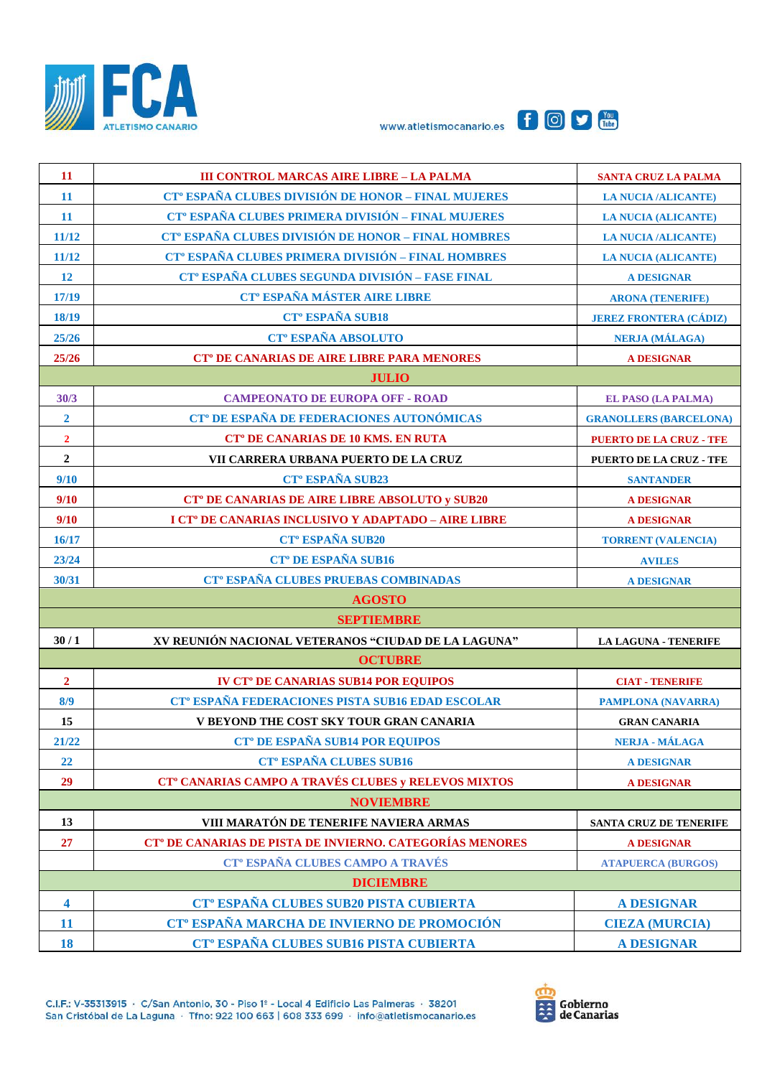





| 11                      | <b>III CONTROL MARCAS AIRE LIBRE - LA PALMA</b>                      | <b>SANTA CRUZ LA PALMA</b>     |
|-------------------------|----------------------------------------------------------------------|--------------------------------|
| <b>11</b>               | CT <sup>°</sup> ESPAÑA CLUBES DIVISIÓN DE HONOR - FINAL MUJERES      | <b>LA NUCIA /ALICANTE)</b>     |
| 11                      | CT <sup>°</sup> ESPAÑA CLUBES PRIMERA DIVISIÓN - FINAL MUJERES       | <b>LA NUCIA (ALICANTE)</b>     |
| 11/12                   | CT <sup>°</sup> ESPAÑA CLUBES DIVISIÓN DE HONOR - FINAL HOMBRES      | <b>LA NUCIA /ALICANTE)</b>     |
| 11/12                   | CT <sup>°</sup> ESPAÑA CLUBES PRIMERA DIVISIÓN - FINAL HOMBRES       | <b>LA NUCIA (ALICANTE)</b>     |
| 12                      | CT <sup>°</sup> ESPAÑA CLUBES SEGUNDA DIVISIÓN - FASE FINAL          | <b>A DESIGNAR</b>              |
| 17/19                   | <b>CT° ESPAÑA MÁSTER AIRE LIBRE</b>                                  | <b>ARONA (TENERIFE)</b>        |
| 18/19                   | <b>CT<sup>°</sup> ESPAÑA SUB18</b>                                   | <b>JEREZ FRONTERA (CÁDIZ)</b>  |
| 25/26                   | <b>CT<sup>°</sup> ESPAÑA ABSOLUTO</b>                                | <b>NERJA (MÁLAGA)</b>          |
| 25/26                   | <b>CT<sup>°</sup> DE CANARIAS DE AIRE LIBRE PARA MENORES</b>         | <b>A DESIGNAR</b>              |
|                         | <b>JULIO</b>                                                         |                                |
| 30/3                    | <b>CAMPEONATO DE EUROPA OFF - ROAD</b>                               | <b>EL PASO (LA PALMA)</b>      |
| $\overline{\mathbf{2}}$ | CT <sup>°</sup> DE ESPAÑA DE FEDERACIONES AUTONÓMICAS                | <b>GRANOLLERS (BARCELONA)</b>  |
| $\overline{2}$          | <b>CT<sup>°</sup> DE CANARIAS DE 10 KMS. EN RUTA</b>                 | <b>PUERTO DE LA CRUZ - TFE</b> |
| $\overline{2}$          | VII CARRERA URBANA PUERTO DE LA CRUZ                                 | <b>PUERTO DE LA CRUZ - TFE</b> |
| 9/10                    | CT <sup>o</sup> ESPAÑA SUB23                                         | <b>SANTANDER</b>               |
| 9/10                    | <b>CT<sup>°</sup> DE CANARIAS DE AIRE LIBRE ABSOLUTO y SUB20</b>     | <b>A DESIGNAR</b>              |
| 9/10                    | I CT <sup>°</sup> DE CANARIAS INCLUSIVO Y ADAPTADO - AIRE LIBRE      | <b>A DESIGNAR</b>              |
| 16/17                   | <b>CT<sup>°</sup> ESPAÑA SUB20</b>                                   | <b>TORRENT (VALENCIA)</b>      |
| 23/24                   | <b>CT<sup>°</sup> DE ESPAÑA SUB16</b>                                | <b>AVILES</b>                  |
| 30/31                   | CT <sup>°</sup> ESPAÑA CLUBES PRUEBAS COMBINADAS                     | <b>A DESIGNAR</b>              |
|                         | <b>AGOSTO</b>                                                        |                                |
|                         | <b>SEPTIEMBRE</b>                                                    |                                |
| 30/1                    | XV REUNIÓN NACIONAL VETERANOS "CIUDAD DE LA LAGUNA"                  | <b>LA LAGUNA - TENERIFE</b>    |
|                         | <b>OCTUBRE</b>                                                       |                                |
| $\overline{2}$          | <b>IV CT<sup>°</sup> DE CANARIAS SUB14 POR EQUIPOS</b>               | <b>CIAT - TENERIFE</b>         |
| 8/9                     | CT <sup>°</sup> ESPAÑA FEDERACIONES PISTA SUB16 EDAD ESCOLAR         | <b>PAMPLONA (NAVARRA)</b>      |
| 15                      | V BEYOND THE COST SKY TOUR GRAN CANARIA                              | <b>GRAN CANARIA</b>            |
| 21/22                   | <b>CT<sup>°</sup> DE ESPAÑA SUB14 POR EQUIPOS</b>                    | NERJA - MÁLAGA                 |
| 22                      | <b>CT<sup>°</sup> ESPAÑA CLUBES SUB16</b>                            | <b>A DESIGNAR</b>              |
| 29                      | CT <sup>°</sup> CANARIAS CAMPO A TRAVÉS CLUBES y RELEVOS MIXTOS      | <b>A DESIGNAR</b>              |
|                         | <b>NOVIEMBRE</b>                                                     |                                |
| 13                      | VIII MARATÓN DE TENERIFE NAVIERA ARMAS                               | <b>SANTA CRUZ DE TENERIFE</b>  |
| 27                      | CT <sup>°</sup> DE CANARIAS DE PISTA DE INVIERNO. CATEGORÍAS MENORES | <b>A DESIGNAR</b>              |
|                         | CT <sup>°</sup> ESPAÑA CLUBES CAMPO A TRAVÉS                         | <b>ATAPUERCA (BURGOS)</b>      |
| <b>DICIEMBRE</b>        |                                                                      |                                |
| $\overline{\mathbf{4}}$ | CT <sup>°</sup> ESPAÑA CLUBES SUB20 PISTA CUBIERTA                   | <b>A DESIGNAR</b>              |
| <b>11</b>               | CT <sup>°</sup> ESPAÑA MARCHA DE INVIERNO DE PROMOCIÓN               | <b>CIEZA (MURCIA)</b>          |
| <b>18</b>               | CT <sup>°</sup> ESPAÑA CLUBES SUB16 PISTA CUBIERTA                   | <b>A DESIGNAR</b>              |